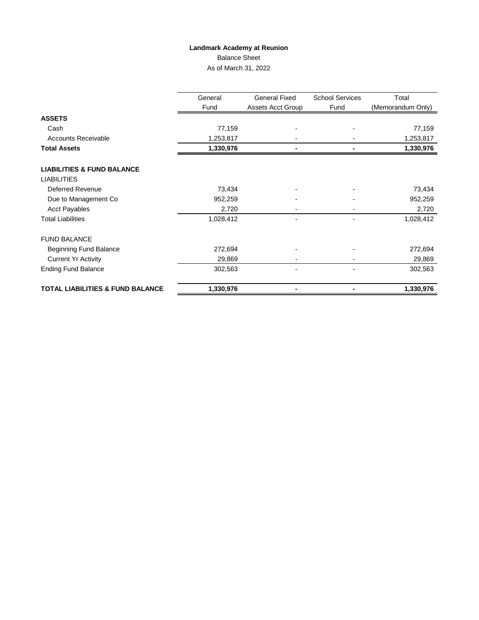### **Landmark Academy at Reunion**

#### Balance Sheet

As of March 31, 2022

|                                             | General<br>Fund | <b>General Fixed</b><br>Assets Acct Group | <b>School Services</b><br>Fund | Total<br>(Memorandum Only) |  |
|---------------------------------------------|-----------------|-------------------------------------------|--------------------------------|----------------------------|--|
| <b>ASSETS</b>                               |                 |                                           |                                |                            |  |
| Cash                                        | 77,159          |                                           |                                | 77,159                     |  |
| <b>Accounts Receivable</b>                  | 1,253,817       |                                           |                                | 1,253,817                  |  |
| <b>Total Assets</b>                         | 1,330,976       |                                           |                                | 1,330,976                  |  |
|                                             |                 |                                           |                                |                            |  |
| <b>LIABILITIES &amp; FUND BALANCE</b>       |                 |                                           |                                |                            |  |
| <b>LIABILITIES</b>                          |                 |                                           |                                |                            |  |
| <b>Deferred Revenue</b>                     | 73,434          |                                           |                                | 73,434                     |  |
| Due to Management Co                        | 952,259         |                                           |                                | 952,259                    |  |
| <b>Acct Payables</b>                        | 2,720           |                                           |                                | 2,720                      |  |
| <b>Total Liabilities</b>                    | 1,028,412       |                                           |                                | 1,028,412                  |  |
| <b>FUND BALANCE</b>                         |                 |                                           |                                |                            |  |
| Beginning Fund Balance                      | 272,694         |                                           |                                | 272,694                    |  |
| <b>Current Yr Activity</b>                  | 29,869          |                                           |                                | 29,869                     |  |
| <b>Ending Fund Balance</b>                  | 302,563         |                                           |                                | 302,563                    |  |
| <b>TOTAL LIABILITIES &amp; FUND BALANCE</b> | 1,330,976       |                                           |                                | 1,330,976                  |  |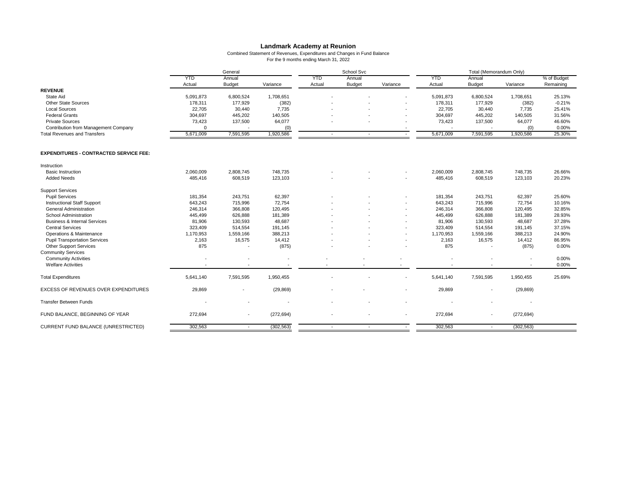# **Landmark Academy at Reunion**

## Combined Statement of Revenues, Expenditures and Changes in Fund Balance

| For the 9 months ending March 31, 2022 |  |  |  |
|----------------------------------------|--|--|--|
|----------------------------------------|--|--|--|

|                                               | General    |                |            |                | School Svc    |                |            | Total (Memorandum Only)  |                          |             |  |
|-----------------------------------------------|------------|----------------|------------|----------------|---------------|----------------|------------|--------------------------|--------------------------|-------------|--|
|                                               | <b>YTD</b> | Annual         |            | <b>YTD</b>     | Annual        |                | <b>YTD</b> | Annual                   |                          | % of Budget |  |
|                                               | Actual     | <b>Budget</b>  | Variance   | Actual         | <b>Budget</b> | Variance       | Actual     | <b>Budget</b>            | Variance                 | Remaining   |  |
| <b>REVENUE</b>                                |            |                |            |                |               |                |            |                          |                          |             |  |
| State Aid                                     | 5,091,873  | 6,800,524      | 1,708,651  |                |               |                | 5,091,873  | 6,800,524                | 1,708,651                | 25.13%      |  |
| <b>Other State Sources</b>                    | 178,311    | 177,929        | (382)      |                |               |                | 178,311    | 177,929                  | (382)                    | $-0.21%$    |  |
| <b>Local Sources</b>                          | 22,705     | 30,440         | 7,735      |                |               |                | 22,705     | 30,440                   | 7,735                    | 25.41%      |  |
| <b>Federal Grants</b>                         | 304,697    | 445,202        | 140,505    |                |               |                | 304,697    | 445,202                  | 140,505                  | 31.56%      |  |
| <b>Private Sources</b>                        | 73,423     | 137,500        | 64,077     |                |               |                | 73,423     | 137,500                  | 64,077                   | 46.60%      |  |
| Contribution from Management Company          | $\Omega$   |                | (0)        |                |               |                |            |                          | (0)                      | 0.00%       |  |
| <b>Total Revenues and Transfers</b>           | 5,671,009  | 7,591,595      | 1,920,586  | $\sim$         | $\sim$        | $\blacksquare$ | 5,671,009  | 7,591,595                | 1,920,586                | 25.30%      |  |
| <b>EXPENDITURES - CONTRACTED SERVICE FEE:</b> |            |                |            |                |               |                |            |                          |                          |             |  |
| Instruction                                   |            |                |            |                |               |                |            |                          |                          |             |  |
| <b>Basic Instruction</b>                      | 2,060,009  | 2,808,745      | 748,735    |                |               |                | 2,060,009  | 2,808,745                | 748,735                  | 26.66%      |  |
| <b>Added Needs</b>                            | 485,416    | 608,519        | 123,103    |                |               |                | 485,416    | 608,519                  | 123,103                  | 20.23%      |  |
| <b>Support Services</b>                       |            |                |            |                |               |                |            |                          |                          |             |  |
| <b>Pupil Services</b>                         | 181,354    | 243,751        | 62,397     |                |               |                | 181,354    | 243,751                  | 62,397                   | 25.60%      |  |
| <b>Instructional Staff Support</b>            | 643,243    | 715,996        | 72,754     |                |               |                | 643,243    | 715,996                  | 72,754                   | 10.16%      |  |
| <b>General Administration</b>                 | 246,314    | 366,808        | 120,495    |                |               |                | 246,314    | 366,808                  | 120,495                  | 32.85%      |  |
| <b>School Administration</b>                  | 445,499    | 626,888        | 181,389    |                |               |                | 445,499    | 626,888                  | 181,389                  | 28.93%      |  |
| <b>Business &amp; Internal Services</b>       | 81,906     | 130,593        | 48,687     |                |               |                | 81,906     | 130,593                  | 48,687                   | 37.28%      |  |
| <b>Central Services</b>                       | 323,409    | 514,554        | 191,145    |                |               |                | 323,409    | 514,554                  | 191,145                  | 37.15%      |  |
| Operations & Maintenance                      | 1,170,953  | 1,559,166      | 388,213    |                |               |                | 1,170,953  | 1,559,166                | 388,213                  | 24.90%      |  |
| <b>Pupil Transportation Services</b>          | 2,163      | 16,575         | 14,412     |                |               |                | 2,163      | 16,575                   | 14,412                   | 86.95%      |  |
| <b>Other Support Services</b>                 | 875        |                | (875)      |                |               |                | 875        |                          | (875)                    | 0.00%       |  |
| <b>Community Services</b>                     |            |                |            |                |               |                |            |                          |                          |             |  |
| <b>Community Activities</b>                   |            |                |            |                |               |                |            |                          |                          | 0.00%       |  |
| <b>Welfare Activities</b>                     |            |                |            |                |               |                |            |                          |                          | 0.00%       |  |
| <b>Total Expenditures</b>                     | 5,641,140  | 7,591,595      | 1,950,455  |                |               |                | 5,641,140  | 7,591,595                | 1,950,455                | 25.69%      |  |
| EXCESS OF REVENUES OVER EXPENDITURES          | 29,869     |                | (29, 869)  |                |               |                | 29,869     |                          | (29, 869)                |             |  |
| <b>Transfer Between Funds</b>                 |            |                |            |                |               |                |            |                          | $\overline{\phantom{a}}$ |             |  |
| FUND BALANCE, BEGINNING OF YEAR               | 272,694    | $\blacksquare$ | (272, 694) |                |               |                | 272,694    | $\overline{\phantom{a}}$ | (272, 694)               |             |  |
| CURRENT FUND BALANCE (UNRESTRICTED)           | 302,563    | $\sim$         | (302, 563) | $\blacksquare$ | $\sim$        | $\sim$         | 302,563    | $\blacksquare$           | (302, 563)               |             |  |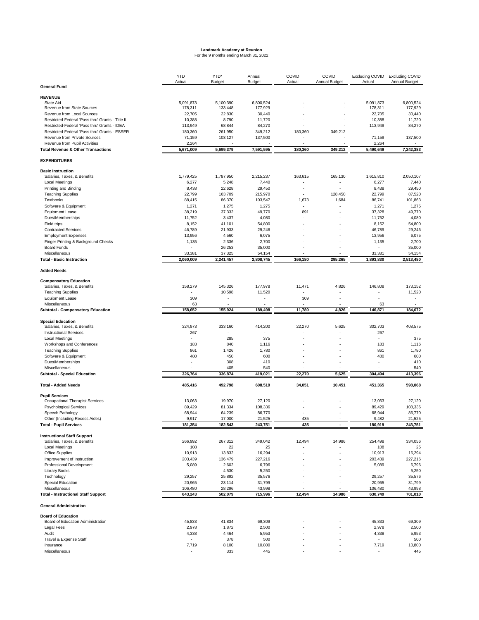|                                                                                | <b>YTD</b><br>Actual     | YTD*<br><b>Budget</b> | Annual<br><b>Budget</b> | COVID<br>Actual | COVID<br><b>Annual Budget</b> | <b>Excluding COVID</b><br>Actual | <b>Excluding COVID</b><br>Annual Budget |
|--------------------------------------------------------------------------------|--------------------------|-----------------------|-------------------------|-----------------|-------------------------------|----------------------------------|-----------------------------------------|
| <b>General Fund</b>                                                            |                          |                       |                         |                 |                               |                                  |                                         |
| <b>REVENUE</b>                                                                 |                          |                       |                         |                 |                               |                                  |                                         |
| State Aid                                                                      | 5,091,873                | 5,100,390             | 6,800,524               |                 |                               | 5,091,873                        | 6,800,524                               |
| <b>Revenue from State Sources</b><br>Revenue from Local Sources                | 178,311<br>22,705        | 133,448<br>22,830     | 177,929<br>30,440       |                 |                               | 178,311<br>22,705                | 177,929<br>30,440                       |
| Restricted-Federal 'Pass thru' Grants - Title II                               | 10,388                   | 8,790                 | 11,720                  |                 |                               | 10,388                           | 11,720                                  |
| Restricted-Federal 'Pass thru' Grants - IDEA                                   | 113,949                  | 68,844                | 84,270                  |                 |                               | 113,949                          | 84,270                                  |
| Restricted-Federal 'Pass thru' Grants - ESSER                                  | 180,360                  | 261,950               | 349,212                 | 180,360         | 349,212                       |                                  |                                         |
| Revenue from Private Sources                                                   | 71,159                   | 103,127               | 137,500                 |                 |                               | 71,159                           | 137,500                                 |
| Revenue from Pupil Activities<br><b>Total Revenue &amp; Other Transactions</b> | 2,264<br>5,671,009       | 5,699,379             | 7,591,595               | 180,360         | 349,212                       | 2,264<br>5,490,649               | 7,242,383                               |
|                                                                                |                          |                       |                         |                 |                               |                                  |                                         |
| <b>EXPENDITURES</b>                                                            |                          |                       |                         |                 |                               |                                  |                                         |
| <b>Basic Instruction</b><br>Salaries, Taxes, & Benefits                        | 1,779,425                | 1,787,950             | 2,215,237               | 163,615         | 165,130                       | 1,615,810                        | 2,050,107                               |
| <b>Local Meetings</b>                                                          | 6,277                    | 5,248                 | 7,440                   |                 |                               | 6,277                            | 7,440                                   |
| Printing and Binding                                                           | 8,438                    | 22,628                | 29,450                  |                 |                               | 8,438                            | 29,450                                  |
| <b>Teaching Supplies</b>                                                       | 22,799                   | 163,709               | 215,970                 |                 | 128,450                       | 22,799                           | 87,520                                  |
| <b>Textbooks</b>                                                               | 88,415                   | 86,370                | 103,547                 | 1,673           | 1,684                         | 86,741                           | 101,863                                 |
| Software & Equipment<br><b>Equipment Lease</b>                                 | 1,271<br>38,219          | 1,275<br>37,332       | 1,275<br>49,770         | 891             | $\overline{a}$                | 1,271<br>37,328                  | 1,275<br>49,770                         |
| Dues/Memberships                                                               | 11,752                   | 3,437                 | 4,080                   |                 | $\blacksquare$                | 11,752                           | 4,080                                   |
| Field trips                                                                    | 8,152                    | 41,101                | 54,800                  |                 |                               | 8,152                            | 54,800                                  |
| <b>Contracted Services</b>                                                     | 46,789                   | 21,933                | 29,246                  |                 |                               | 46,789                           | 29,246                                  |
| <b>Employment Expenses</b>                                                     | 13,956                   | 4,560                 | 6,075                   |                 | $\overline{a}$                | 13,956                           | 6,075                                   |
| Finger Printing & Background Checks                                            | 1,135                    | 2,336                 | 2,700                   |                 |                               | 1,135                            | 2,700                                   |
| <b>Board Funds</b>                                                             |                          | 26,253                | 35,000                  |                 |                               |                                  | 35,000                                  |
| Miscellaneous<br><b>Total - Basic Instruction</b>                              | 33,381<br>2,060,009      | 37,325<br>2,241,457   | 54,154<br>2,808,745     | 166,180         | 295,265                       | 33,381<br>1,893,830              | 54,154<br>2,513,480                     |
| <b>Added Needs</b>                                                             |                          |                       |                         |                 |                               |                                  |                                         |
|                                                                                |                          |                       |                         |                 |                               |                                  |                                         |
| <b>Compensatory Education</b><br>Salaries, Taxes, & Benefits                   | 158,279                  | 145,326               | 177,978                 | 11,471          | 4,826                         | 146,808                          | 173,152                                 |
| <b>Teaching Supplies</b>                                                       |                          | 10,598                | 11,520                  |                 |                               |                                  | 11,520                                  |
| <b>Equipment Lease</b>                                                         | 309                      |                       |                         | 309             |                               |                                  |                                         |
| Miscellaneous                                                                  | 63                       |                       |                         |                 |                               | 63                               |                                         |
| <b>Subtotal - Compensatory Education</b>                                       | 158,652                  | 155,924               | 189,498                 | 11,780          | 4,826                         | 146,871                          | 184,672                                 |
| <b>Special Education</b>                                                       |                          |                       |                         |                 |                               |                                  |                                         |
| Salaries, Taxes, & Benefits                                                    | 324,973                  | 333,160               | 414,200                 | 22,270          | 5,625                         | 302,703                          | 408,575                                 |
| <b>Instructional Services</b>                                                  | 267                      |                       |                         |                 |                               | 267                              |                                         |
| <b>Local Meetings</b>                                                          |                          | 285                   | 375                     |                 |                               |                                  | 375                                     |
| Workshops and Conferences<br><b>Teaching Supplies</b>                          | 183<br>861               | 840<br>1,426          | 1,116<br>1,780          |                 |                               | 183<br>861                       | 1,116<br>1,780                          |
| Software & Equipment                                                           | 480                      | 450                   | 600                     |                 |                               | 480                              | 600                                     |
| Dues/Memberships                                                               |                          | 308                   | 410                     |                 |                               |                                  | 410                                     |
| Miscellaneous                                                                  |                          | 405                   | 540                     |                 |                               |                                  | 540                                     |
| <b>Subtotal - Special Education</b>                                            | 326,764                  | 336,874               | 419,021                 | 22,270          | 5,625                         | 304,494                          | 413,396                                 |
| <b>Total - Added Needs</b>                                                     | 485,416                  | 492,798               | 608,519                 | 34,051          | 10,451                        | 451,365                          | 598,068                                 |
| <b>Pupil Services</b>                                                          |                          |                       |                         |                 |                               |                                  |                                         |
| <b>Occupational Therapist Services</b>                                         | 13,063                   | 19,970                | 27,120                  |                 |                               | 13,063<br>89,429                 | 27,120                                  |
| <b>Psychological Services</b><br>Speech Pathology                              | 89,429<br>68,944         | 81,334<br>64,239      | 108,336<br>86,770       |                 |                               | 68,944                           | 108,336<br>86,770                       |
| Other (Including Recess Aides)                                                 | 9,917                    | 17,000                | 21,525                  | 435             |                               | 9,482                            | 21,525                                  |
| <b>Total - Pupil Services</b>                                                  | 181,354                  | 182,543               | 243,751                 | 435             |                               | 180,919                          | 243,751                                 |
| <b>Instructional Staff Support</b>                                             |                          |                       |                         |                 |                               |                                  |                                         |
| Salaries, Taxes, & Benefits                                                    | 266,992                  | 267,312               | 349,042                 | 12,494          | 14,986                        | 254,498                          | 334,056                                 |
| <b>Local Meetings</b><br><b>Office Supplies</b>                                | 108<br>10,913            | 22<br>13,832          | 25<br>16,294            |                 |                               | 108<br>10,913                    | 25<br>16,294                            |
| Improvement of Instruction                                                     | 203,439                  | 136,479               | 227,216                 |                 |                               | 203,439                          | 227,216                                 |
| Professional Development                                                       | 5,089                    | 2,602                 | 6,796                   |                 |                               | 5,089                            | 6,796                                   |
| Library Books                                                                  |                          | 4,530                 | 5,250                   |                 |                               |                                  | 5,250                                   |
| Technology                                                                     | 29,257                   | 25,892                | 35,576                  |                 |                               | 29,257                           | 35,576                                  |
| Special Education                                                              | 20,965                   | 23,114                | 31,799                  |                 |                               | 20,965                           | 31,799                                  |
| Miscellaneous<br><b>Total - Instructional Staff Support</b>                    | 106,480<br>643,243       | 28,296<br>502,079     | 43,998<br>715,996       | 12,494          | 14,986                        | 106,480<br>630,749               | 43,998<br>701,010                       |
|                                                                                |                          |                       |                         |                 |                               |                                  |                                         |
| <b>General Administration</b>                                                  |                          |                       |                         |                 |                               |                                  |                                         |
| <b>Board of Education</b><br>Board of Education Administration                 | 45,833                   | 41,834                | 69,309                  |                 |                               | 45,833                           |                                         |
| Legal Fees                                                                     | 2,978                    | 1,872                 | 2,500                   |                 |                               | 2,978                            | 69,309<br>2,500                         |
| Audit                                                                          | 4,338                    | 4,464                 | 5,953                   |                 |                               | 4,338                            | 5,953                                   |
| Travel & Expense Staff                                                         | $\overline{\phantom{a}}$ | 378                   | 500                     |                 |                               | $\overline{\phantom{a}}$         | 500                                     |
| Insurance                                                                      | 7,719                    | 8,100                 | 10,800                  |                 |                               | 7,719                            | 10,800                                  |
| Miscellaneous                                                                  | $\blacksquare$           | 333                   | 445                     |                 |                               | $\blacksquare$                   | 445                                     |

#### **Landmark Academy at Reunion** For the 9 months ending March 31, 2022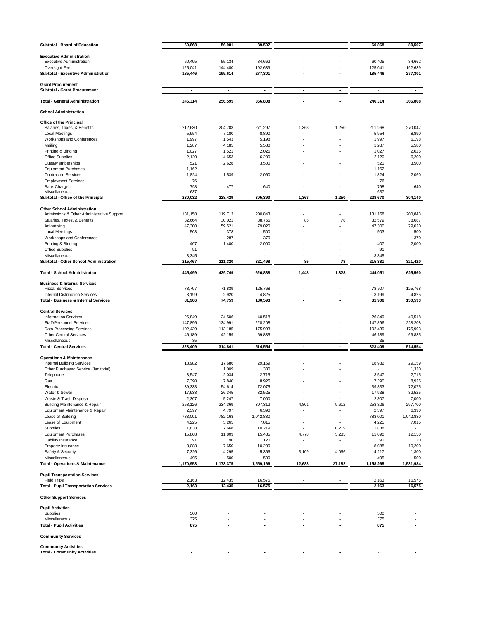| <b>Subtotal - Board of Education</b>                                            | 60,868          | 56,981                   | 89,507           | $\blacksquare$               |                | 60,868          | 89,507                          |
|---------------------------------------------------------------------------------|-----------------|--------------------------|------------------|------------------------------|----------------|-----------------|---------------------------------|
| <b>Executive Administration</b>                                                 |                 |                          |                  |                              |                |                 |                                 |
| <b>Executive Administration</b>                                                 | 60,405          | 55,134                   | 84,662           |                              |                | 60,405          | 84,662                          |
| Oversight Fee                                                                   | 125,041         | 144,480                  | 192,639          |                              |                | 125,041         | 192,639                         |
| <b>Subtotal - Executive Administration</b>                                      | 185,446         | 199,614                  | 277,301          |                              |                | 185,446         | 277,301                         |
| <b>Grant Procurement</b>                                                        |                 |                          |                  |                              |                |                 |                                 |
| <b>Subtotal - Grant Procurement</b>                                             |                 | $\blacksquare$           |                  | $\blacksquare$               |                | $\sim$          |                                 |
| <b>Total - General Administration</b>                                           | 246,314         | 256,595                  | 366,808          |                              |                | 246,314         | 366,808                         |
| <b>School Administration</b>                                                    |                 |                          |                  |                              |                |                 |                                 |
| <b>Office of the Principal</b>                                                  |                 |                          |                  |                              |                |                 |                                 |
| Salaries, Taxes, & Benefits                                                     | 212,630         | 204,703                  | 271,297          | 1,363                        | 1,250          | 211,268         | 270,047                         |
| <b>Local Meetings</b>                                                           | 5,954           | 7,180                    | 8,890            |                              |                | 5,954           | 8,890                           |
| Workshops and Conferences<br>Mailing                                            | 1,997<br>1,287  | 1,543<br>4,185           | 5,198<br>5,580   |                              |                | 1,997<br>1,287  | 5,198<br>5,580                  |
| Printing & Binding                                                              | 1,027           | 1,521                    | 2,025            |                              |                | 1,027           | 2,025                           |
| <b>Office Supplies</b>                                                          | 2,120           | 4,653                    | 6,200            |                              |                | 2,120           | 6,200                           |
| Dues/Memberships                                                                | 521             | 2,628                    | 3,500            |                              |                | 521             | 3,500                           |
| <b>Equipment Purchases</b>                                                      | 1,162           | ٠                        |                  |                              |                | 1,162           | $\sim$                          |
| <b>Contracted Services</b>                                                      | 1,824           | 1,539                    | 2,060            |                              |                | 1,824           | 2,060                           |
| <b>Employment Services</b>                                                      | 76              | $\overline{\phantom{a}}$ |                  |                              |                | 76              | $\blacksquare$                  |
| <b>Bank Charges</b><br>Miscellaneous                                            | 798<br>637      | 477<br>$\blacksquare$    | 640              | $\blacksquare$               |                | 798<br>637      | 640<br>$\overline{\phantom{a}}$ |
| Subtotal - Office of the Principal                                              | 230,032         | 228,429                  | 305,390          | 1,363                        | 1,250          | 228,670         | 304,140                         |
|                                                                                 |                 |                          |                  |                              |                |                 |                                 |
| <b>Other School Administration</b><br>Admissions & Other Administrative Support | 131,158         | 119,713                  | 200,843          | $\qquad \qquad \blacksquare$ |                | 131,158         | 200,843                         |
| Salaries, Taxes, & Benefits                                                     | 32,664          | 30,021                   | 38,765           | 85                           | 78             | 32,579          | 38,687                          |
| Advertising                                                                     | 47,300          | 59,521                   | 79,020           |                              |                | 47,300          | 79,020                          |
| <b>Local Meetings</b>                                                           | 503             | 378                      | 500              |                              |                | 503             | 500                             |
| Workshops and Conferences                                                       |                 | 287                      | 370              |                              |                |                 | 370                             |
| Printing & Binding                                                              | 407             | 1,400                    | 2,000            |                              |                | 407             | 2,000                           |
| <b>Office Supplies</b>                                                          | 91              |                          |                  |                              |                | 91              |                                 |
| Miscellaneous                                                                   | 3,345           |                          |                  |                              |                | 3,345           |                                 |
| <b>Subtotal - Other School Administration</b>                                   | 215,467         | 211,320                  | 321,498          | 85                           | 78             | 215,381         | 321,420                         |
| <b>Total - School Administration</b>                                            | 445,499         | 439,749                  | 626,888          | 1,448                        | 1,328          | 444,051         | 625,560                         |
| <b>Business &amp; Internal Services</b>                                         |                 |                          |                  |                              |                |                 |                                 |
| <b>Fiscal Services</b>                                                          | 78,707          | 71,839                   | 125,768          |                              |                | 78,707          | 125,768                         |
| <b>Internal Distribution Services</b>                                           | 3,199           | 2,920                    | 4,825            | $\blacksquare$               |                | 3,199           | 4,825                           |
| <b>Total - Business &amp; Internal Services</b>                                 | 81,906          | 74,759                   | 130,593          |                              | $\blacksquare$ | 81,906          | 130,593                         |
| <b>Central Services</b>                                                         |                 |                          |                  |                              |                |                 |                                 |
| <b>Information Services</b>                                                     | 26,849          | 24,506                   | 40,518           |                              |                | 26,849          | 40,518                          |
| <b>Staff/Personnel Services</b>                                                 | 147,896         | 134,991                  | 228,208          |                              |                | 147,896         | 228,208                         |
| <b>Data Processing Services</b><br><b>Other Central Services</b>                | 102,439         | 113,185                  | 175,993          |                              |                | 102,439         | 175,993                         |
| Miscellaneous                                                                   | 46,189<br>35    | 42,159                   | 69,835           |                              |                | 46,189<br>35    | 69,835                          |
| <b>Total - Central Services</b>                                                 | 323,409         | 314,841                  | 514,554          | $\blacksquare$               | $\blacksquare$ | 323,409         | 514,554                         |
| <b>Operations &amp; Maintenance</b>                                             |                 |                          |                  |                              |                |                 |                                 |
| <b>Internal Building Services</b>                                               | 18,982          | 17,686                   | 29,159           |                              |                | 18,982          | 29,159                          |
| Other Purchased Service (Janitorial)                                            |                 | 1,009                    | 1,330            |                              |                |                 | 1,330                           |
| Telephone                                                                       | 3,547           | 2,034                    | 2,715            |                              |                | 3,547           | 2,715                           |
| Gas                                                                             | 7,390           | 7,840                    | 8,925            |                              |                | 7,390           | 8,925                           |
| Electric                                                                        | 39,333          | 54,614                   | 72,075           |                              |                | 39,333          | 72,075                          |
| Water & Sewer<br>Waste & Trash Disposal                                         | 17,938<br>2,307 | 26,345<br>5,247          | 32,525<br>7,000  |                              |                | 17,938<br>2,307 | 32,525<br>7,000                 |
| <b>Building Maintenance &amp; Repair</b>                                        | 258,126         | 234,369                  | 307,312          | 4,801                        | 9,612          | 253,326         | 297,700                         |
| Equipment Maintenance & Repair                                                  | 2,397           | 4,797                    | 6,390            | $\blacksquare$               |                | 2,397           | 6,390                           |
| Lease of Building                                                               | 783,001         | 782,163                  | 1,042,880        | $\blacksquare$               |                | 783,001         | 1,042,880                       |
| Lease of Equipment                                                              | 4,225           | 5,265                    | 7,015            |                              |                | 4,225           | 7,015                           |
| Supplies                                                                        | 1,838           | 7,668                    | 10,219           |                              | 10,219         | 1,838           |                                 |
| <b>Equipment Purchases</b>                                                      | 15,868          | 11,803                   | 15,435           | 4,778                        | 3,285          | 11,090          | 12,150                          |
| Liability Insurance                                                             | 91<br>8,088     | 90<br>7,650              | 120              |                              |                | 91              | 120<br>10,200                   |
| Property Insurance<br>Safety & Security                                         | 7,326           | 4,295                    | 10,200<br>5,366  | 3,109                        | 4,066          | 8,088<br>4,217  | 1,300                           |
| Miscellaneous                                                                   | 495             | 500                      | 500              | $\qquad \qquad \blacksquare$ |                | 495             | 500                             |
| <b>Total - Operations &amp; Maintenance</b>                                     | 1,170,953       | 1,173,375                | 1,559,166        | 12,688                       | 27,182         | 1,158,265       | 1,531,984                       |
| <b>Pupil Transportation Services</b>                                            |                 |                          |                  |                              |                |                 |                                 |
| <b>Field Trips</b><br><b>Total - Pupil Transportation Services</b>              | 2,163<br>2,163  | 12,435<br>12,435         | 16,575<br>16,575 |                              |                | 2,163<br>2,163  | 16,575<br>16,575                |
|                                                                                 |                 |                          |                  |                              |                |                 |                                 |
| <b>Other Support Services</b>                                                   |                 |                          |                  |                              |                |                 |                                 |
| <b>Pupil Activities</b><br>Supplies                                             | 500             |                          |                  |                              |                | 500             |                                 |
| Miscellaneous                                                                   | 375             |                          |                  |                              |                | 375             |                                 |
| <b>Total - Pupil Activities</b>                                                 | 875             |                          |                  |                              |                | 875             |                                 |
| <b>Community Services</b>                                                       |                 |                          |                  |                              |                |                 |                                 |
| <b>Community Activities</b>                                                     |                 |                          |                  |                              |                |                 |                                 |
| <b>Total - Community Activities</b>                                             | $\sim$          | $\sim$                   | $\sim$           | $\blacksquare$               | $\sim$         | $\sim$          |                                 |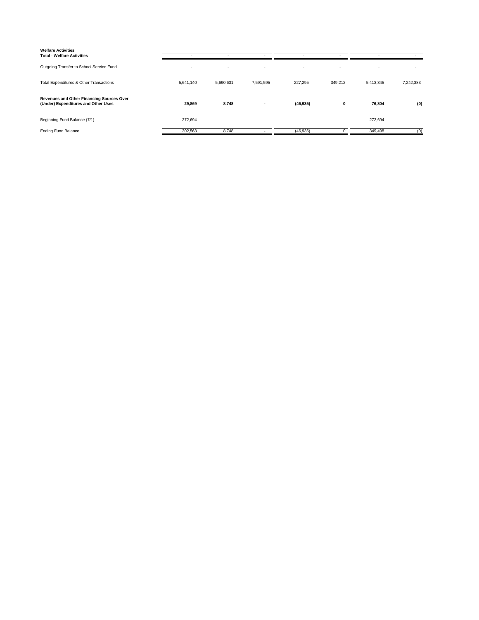| <b>Welfare Activities</b><br><b>Total - Welfare Activities</b>                          |           |           |           |                          |                          |           |           |
|-----------------------------------------------------------------------------------------|-----------|-----------|-----------|--------------------------|--------------------------|-----------|-----------|
| Outgoing Transfer to School Service Fund                                                |           |           |           | $\overline{\phantom{0}}$ | $\overline{\phantom{a}}$ |           |           |
| Total Expenditures & Other Transactions                                                 | 5,641,140 | 5,690,631 | 7,591,595 | 227,295                  | 349,212                  | 5,413,845 | 7,242,383 |
| <b>Revenues and Other Financing Sources Over</b><br>(Under) Expenditures and Other Uses | 29,869    | 8,748     |           | (46, 935)                | $\mathbf 0$              | 76,804    | (0)       |
| Beginning Fund Balance (7/1)                                                            | 272,694   |           |           | $\blacksquare$           | $\overline{\phantom{0}}$ | 272,694   |           |
| <b>Ending Fund Balance</b>                                                              | 302,563   | 8,748     |           | (46, 935)                |                          | 349,498   | (0)       |